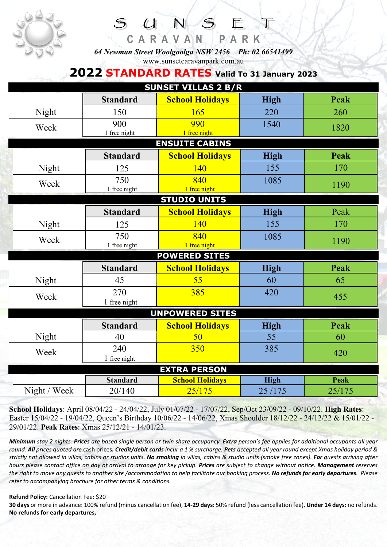

**C A R A V A N P A R K** *64 Newman Street Woolgoolga NSW 2456 Ph: 02 66541499*  www.sunsetcaravanpark.com.au

 $UNS$ 

## **2022 STANDARD RATES Valid To 31 January 2023**

| <b>SUNSET VILLAS 2 B/R</b> |                 |                        |             |             |  |  |  |  |  |
|----------------------------|-----------------|------------------------|-------------|-------------|--|--|--|--|--|
|                            | <b>Standard</b> | <b>School Holidays</b> | <b>High</b> | <b>Peak</b> |  |  |  |  |  |
| Night                      | 150             | 165                    | 220         | 260         |  |  |  |  |  |
| Week                       | 900             | 990                    | 1540        | 1820        |  |  |  |  |  |
|                            | 1 free night    | 1 free night           |             |             |  |  |  |  |  |
| <b>ENSUITE CABINS</b>      |                 |                        |             |             |  |  |  |  |  |
|                            | <b>Standard</b> | <b>School Holidays</b> | <b>High</b> | <b>Peak</b> |  |  |  |  |  |
| Night                      | 125             | 140                    | 155         | 170         |  |  |  |  |  |
| Week                       | 750             | 840                    | 1085        | 1190        |  |  |  |  |  |
|                            | 1 free night    | 1 free night           |             |             |  |  |  |  |  |
| <b>STUDIO UNITS</b>        |                 |                        |             |             |  |  |  |  |  |
|                            | <b>Standard</b> | <b>School Holidays</b> | <b>High</b> | Peak        |  |  |  |  |  |
| Night                      | 125             | 140                    | 155         | 170         |  |  |  |  |  |
| Week                       | 750             | 840                    | 1085        | 1190        |  |  |  |  |  |
|                            | 1 free night    | 1 free night           |             |             |  |  |  |  |  |
| <b>POWERED SITES</b>       |                 |                        |             |             |  |  |  |  |  |
|                            | <b>Standard</b> | <b>School Holidays</b> | <b>High</b> | Peak        |  |  |  |  |  |
| Night                      | 45              | 55                     | 60          | 65          |  |  |  |  |  |
| Week                       | 270             | 385                    | 420         | 455         |  |  |  |  |  |
|                            | 1 free night    |                        |             |             |  |  |  |  |  |
| <b>UNPOWERED SITES</b>     |                 |                        |             |             |  |  |  |  |  |
|                            | <b>Standard</b> | <b>School Holidays</b> | <b>High</b> | <b>Peak</b> |  |  |  |  |  |
| Night                      | 40              | 50                     | 55          | 60          |  |  |  |  |  |
| Week                       | 240             | 350                    | 385         | 420         |  |  |  |  |  |
|                            | 1 free night    |                        |             |             |  |  |  |  |  |
| <b>EXTRA PERSON</b>        |                 |                        |             |             |  |  |  |  |  |
|                            | <b>Standard</b> | <b>School Holidays</b> | <b>High</b> | Peak        |  |  |  |  |  |
| Night / Week               | 20/140          | 25/175                 | 25/175      | 25/175      |  |  |  |  |  |

**School Holidays**: April 08/04/22 - 24/04/22, July 01/07/22 - 17/07/22, Sep/Oct 23/09/22 - 09/10/22. **High Rates**: Easter 15/04/22 - 19/04/22, Queen's Birthday 10/06/22 - 14/06/22, Xmas Shoulder 18/12/22 - 24/12/22 & 15/01/22 - 29/01/22. **Peak Rates**: Xmas 25/12/21 - 14/01/23.

*Minimum stay 2 nights. Prices are based single person or twin share occupancy. Extra person's fee applies for additional occupants all year round. All prices quoted are* cash prices*. Credit/debit cards incur a 1 % surcharge. Pets accepted all year round except Xmas holiday period & strictly not allowed in villas, cabins or studios units. No smoking in villas, cabins & studio units (smoke free zones). For guests arriving after hours please contact office on day of arrival to arrange for key pickup. Prices are subject to change without notice. Management reserves the right to move any guests to another site /accommodation to help facilitate our booking process. No refunds for early departures. Please refer to accompanying brochure for other terms & conditions.* 

**Refund Policy:** Cancellation Fee: \$20

**30 days** or more in advance: 100% refund (minus cancellation fee), **14-29 days**: 50% refund (less cancellation fee), **Under 14 days:** no refunds. **No refunds for early departures,**